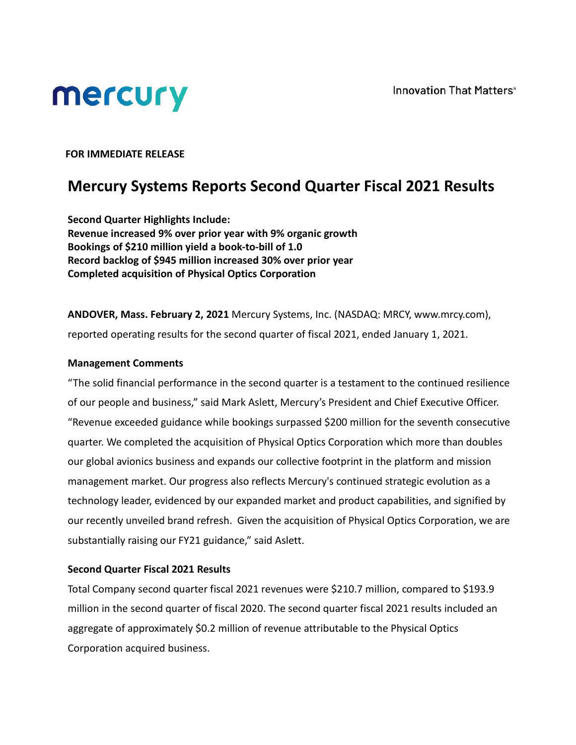# **Mercury**

## **FOR IMMEDIATE RELEASE**

## **Mercury Systems Reports Second Quarter Fiscal 2021 Results**

**Second Quarter Highlights Include: Revenue increased 9% over prior year with 9% organic growth Bookings of \$210 million yield a book-to-bill of 1.0 Record backlog of \$945 million increased 30% over prior year Completed acquisition of Physical Optics Corporation** 

**ANDOVER, Mass. February 2, 2021** Mercury Systems, Inc. (NASDAQ: MRCY, www.mrcy.com), reported operating results for the second quarter of fiscal 2021, ended January 1, 2021.

## **Management Comments**

"The solid financial performance in the second quarter is a testament to the continued resilience of our people and business," said Mark Aslett, Mercury's President and Chief Executive Officer. "Revenue exceeded guidance while bookings surpassed \$200 million for the seventh consecutive quarter. We completed the acquisition of Physical Optics Corporation which more than doubles our global avionics business and expands our collective footprint in the platform and mission management market. Our progress also reflects Mercury's continued strategic evolution as a technology leader, evidenced by our expanded market and product capabilities, and signified by our recently unveiled brand refresh. Given the acquisition of Physical Optics Corporation, we are substantially raising our FY21 guidance," said Aslett.

## **Second Quarter Fiscal 2021 Results**

Total Company second quarter fiscal 2021 revenues were \$210.7 million, compared to \$193.9 million in the second quarter of fiscal 2020. The second quarter fiscal 2021 results included an aggregate of approximately \$0.2 million of revenue attributable to the Physical Optics Corporation acquired business.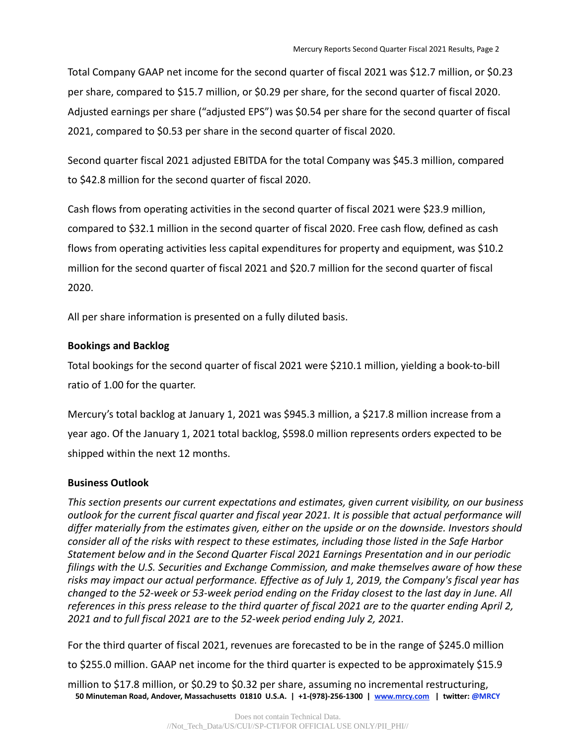Total Company GAAP net income for the second quarter of fiscal 2021 was \$12.7 million, or \$0.23 per share, compared to \$15.7 million, or \$0.29 per share, for the second quarter of fiscal 2020. Adjusted earnings per share ("adjusted EPS") was \$0.54 per share for the second quarter of fiscal 2021, compared to \$0.53 per share in the second quarter of fiscal 2020.

Second quarter fiscal 2021 adjusted EBITDA for the total Company was \$45.3 million, compared to \$42.8 million for the second quarter of fiscal 2020.

Cash flows from operating activities in the second quarter of fiscal 2021 were \$23.9 million, compared to \$32.1 million in the second quarter of fiscal 2020. Free cash flow, defined as cash flows from operating activities less capital expenditures for property and equipment, was \$10.2 million for the second quarter of fiscal 2021 and \$20.7 million for the second quarter of fiscal 2020.

All per share information is presented on a fully diluted basis.

## **Bookings and Backlog**

Total bookings for the second quarter of fiscal 2021 were \$210.1 million, yielding a book-to-bill ratio of 1.00 for the quarter.

Mercury's total backlog at January 1, 2021 was \$945.3 million, a \$217.8 million increase from a year ago. Of the January 1, 2021 total backlog, \$598.0 million represents orders expected to be shipped within the next 12 months.

## **Business Outlook**

*This section presents our current expectations and estimates, given current visibility, on our business outlook for the current fiscal quarter and fiscal year 2021. It is possible that actual performance will differ materially from the estimates given, either on the upside or on the downside. Investors should consider all of the risks with respect to these estimates, including those listed in the Safe Harbor Statement below and in the Second Quarter Fiscal 2021 Earnings Presentation and in our periodic filings with the U.S. Securities and Exchange Commission, and make themselves aware of how these risks may impact our actual performance. Effective as of July 1, 2019, the Company's fiscal year has changed to the 52-week or 53-week period ending on the Friday closest to the last day in June. All references in this press release to the third quarter of fiscal 2021 are to the quarter ending April 2, 2021 and to full fiscal 2021 are to the 52-week period ending July 2, 2021.*

For the third quarter of fiscal 2021, revenues are forecasted to be in the range of \$245.0 million

to \$255.0 million. GAAP net income for the third quarter is expected to be approximately \$15.9

**50 Minuteman Road, Andover, Massachusetts 01810 U.S.A. | +1-(978)-256-1300 | www.mrcy.com | twitter: @MRCY** million to \$17.8 million, or \$0.29 to \$0.32 per share, assuming no incremental restructuring,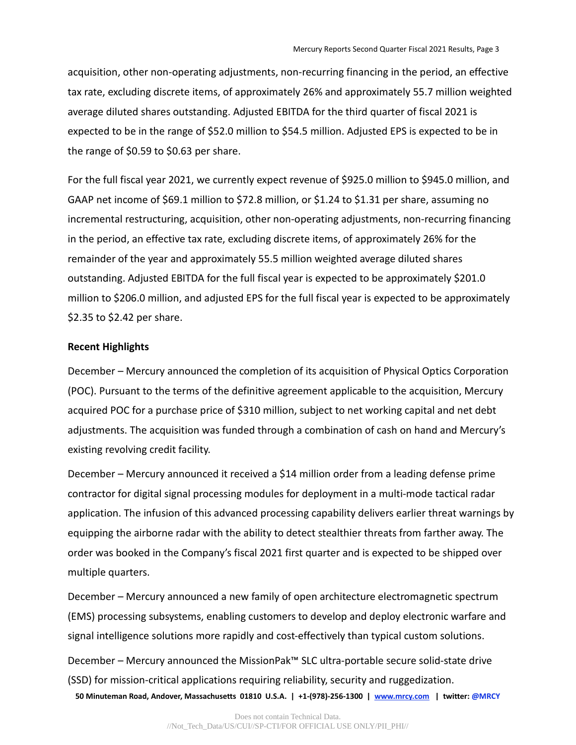acquisition, other non-operating adjustments, non-recurring financing in the period, an effective tax rate, excluding discrete items, of approximately 26% and approximately 55.7 million weighted average diluted shares outstanding. Adjusted EBITDA for the third quarter of fiscal 2021 is expected to be in the range of \$52.0 million to \$54.5 million. Adjusted EPS is expected to be in the range of \$0.59 to \$0.63 per share.

For the full fiscal year 2021, we currently expect revenue of \$925.0 million to \$945.0 million, and GAAP net income of \$69.1 million to \$72.8 million, or \$1.24 to \$1.31 per share, assuming no incremental restructuring, acquisition, other non-operating adjustments, non-recurring financing in the period, an effective tax rate, excluding discrete items, of approximately 26% for the remainder of the year and approximately 55.5 million weighted average diluted shares outstanding. Adjusted EBITDA for the full fiscal year is expected to be approximately \$201.0 million to \$206.0 million, and adjusted EPS for the full fiscal year is expected to be approximately \$2.35 to \$2.42 per share.

## **Recent Highlights**

December – Mercury announced the completion of its acquisition of Physical Optics Corporation (POC). Pursuant to the terms of the definitive agreement applicable to the acquisition, Mercury acquired POC for a purchase price of \$310 million, subject to net working capital and net debt adjustments. The acquisition was funded through a combination of cash on hand and Mercury's existing revolving credit facility.

December – Mercury announced it received a \$14 million order from a leading defense prime contractor for digital signal processing modules for deployment in a multi-mode tactical radar application. The infusion of this advanced processing capability delivers earlier threat warnings by equipping the airborne radar with the ability to detect stealthier threats from farther away. The order was booked in the Company's fiscal 2021 first quarter and is expected to be shipped over multiple quarters.

December – Mercury announced a new family of open architecture electromagnetic spectrum (EMS) processing subsystems, enabling customers to develop and deploy electronic warfare and signal intelligence solutions more rapidly and cost-effectively than typical custom solutions. December – Mercury announced the MissionPak™ SLC ultra-portable secure solid-state drive

(SSD) for mission-critical applications requiring reliability, security and ruggedization.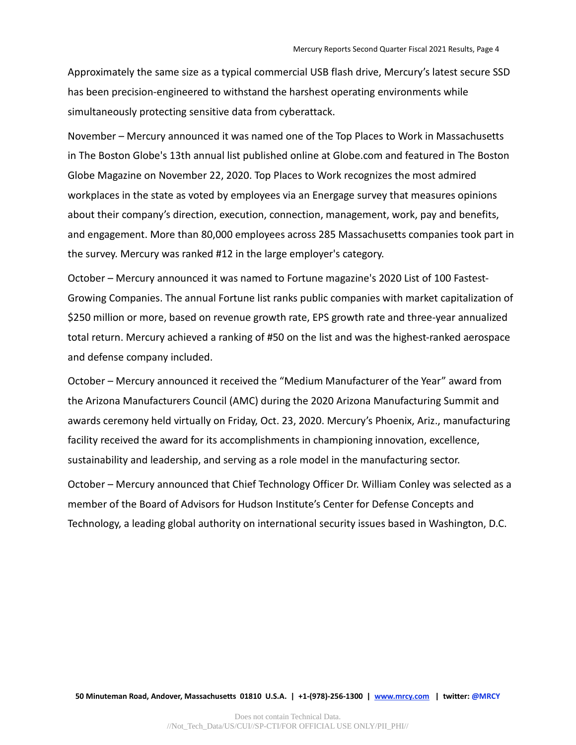Approximately the same size as a typical commercial USB flash drive, Mercury's latest secure SSD has been precision-engineered to withstand the harshest operating environments while simultaneously protecting sensitive data from cyberattack.

November – Mercury announced it was named one of the Top Places to Work in Massachusetts in The Boston Globe's 13th annual list published online at Globe.com and featured in The Boston Globe Magazine on November 22, 2020. Top Places to Work recognizes the most admired workplaces in the state as voted by employees via an Energage survey that measures opinions about their company's direction, execution, connection, management, work, pay and benefits, and engagement. More than 80,000 employees across 285 Massachusetts companies took part in the survey. Mercury was ranked #12 in the large employer's category.

October – Mercury announced it was named to Fortune magazine's 2020 List of 100 Fastest-Growing Companies. The annual Fortune list ranks public companies with market capitalization of \$250 million or more, based on revenue growth rate, EPS growth rate and three-year annualized total return. Mercury achieved a ranking of #50 on the list and was the highest-ranked aerospace and defense company included.

October – Mercury announced it received the "Medium Manufacturer of the Year" award from the Arizona Manufacturers Council (AMC) during the 2020 Arizona Manufacturing Summit and awards ceremony held virtually on Friday, Oct. 23, 2020. Mercury's Phoenix, Ariz., manufacturing facility received the award for its accomplishments in championing innovation, excellence, sustainability and leadership, and serving as a role model in the manufacturing sector.

October – Mercury announced that Chief Technology Officer Dr. William Conley was selected as a member of the Board of Advisors for Hudson Institute's Center for Defense Concepts and Technology, a leading global authority on international security issues based in Washington, D.C.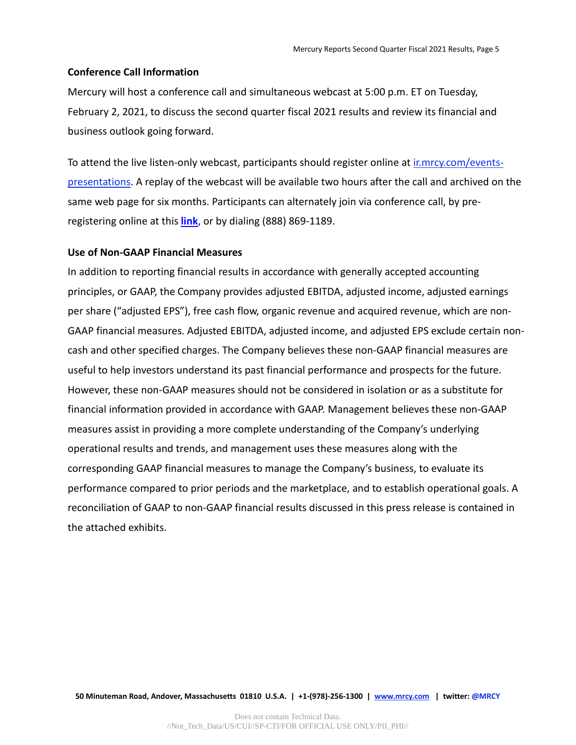## **Conference Call Information**

Mercury will host a conference call and simultaneous webcast at 5:00 p.m. ET on Tuesday, February 2, 2021, to discuss the second quarter fiscal 2021 results and review its financial and business outlook going forward.

To attend the live listen-only webcast, participants should register online at ir.mrcy.com/eventspresentations. A replay of the webcast will be available two hours after the call and archived on the same web page for six months. Participants can alternately join via conference call, by preregistering online at this **link**, or by dialing (888) 869-1189.

## **Use of Non-GAAP Financial Measures**

In addition to reporting financial results in accordance with generally accepted accounting principles, or GAAP, the Company provides adjusted EBITDA, adjusted income, adjusted earnings per share ("adjusted EPS"), free cash flow, organic revenue and acquired revenue, which are non-GAAP financial measures. Adjusted EBITDA, adjusted income, and adjusted EPS exclude certain noncash and other specified charges. The Company believes these non-GAAP financial measures are useful to help investors understand its past financial performance and prospects for the future. However, these non-GAAP measures should not be considered in isolation or as a substitute for financial information provided in accordance with GAAP. Management believes these non-GAAP measures assist in providing a more complete understanding of the Company's underlying operational results and trends, and management uses these measures along with the corresponding GAAP financial measures to manage the Company's business, to evaluate its performance compared to prior periods and the marketplace, and to establish operational goals. A reconciliation of GAAP to non-GAAP financial results discussed in this press release is contained in the attached exhibits.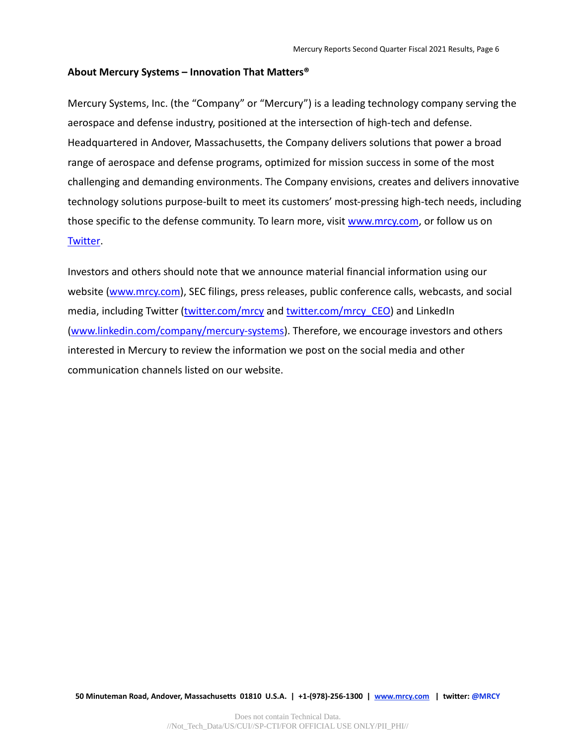## **About Mercury Systems – Innovation That Matters®**

Mercury Systems, Inc. (the "Company" or "Mercury") is a leading technology company serving the aerospace and defense industry, positioned at the intersection of high-tech and defense. Headquartered in Andover, Massachusetts, the Company delivers solutions that power a broad range of aerospace and defense programs, optimized for mission success in some of the most challenging and demanding environments. The Company envisions, creates and delivers innovative technology solutions purpose-built to meet its customers' most-pressing high-tech needs, including those specific to the defense community. To learn more, visit www.mrcy.com, or follow us on Twitter.

Investors and others should note that we announce material financial information using our website (www.mrcy.com), SEC filings, press releases, public conference calls, webcasts, and social media, including Twitter (twitter.com/mrcy and twitter.com/mrcy\_CEO) and LinkedIn (www.linkedin.com/company/mercury-systems). Therefore, we encourage investors and others interested in Mercury to review the information we post on the social media and other communication channels listed on our website.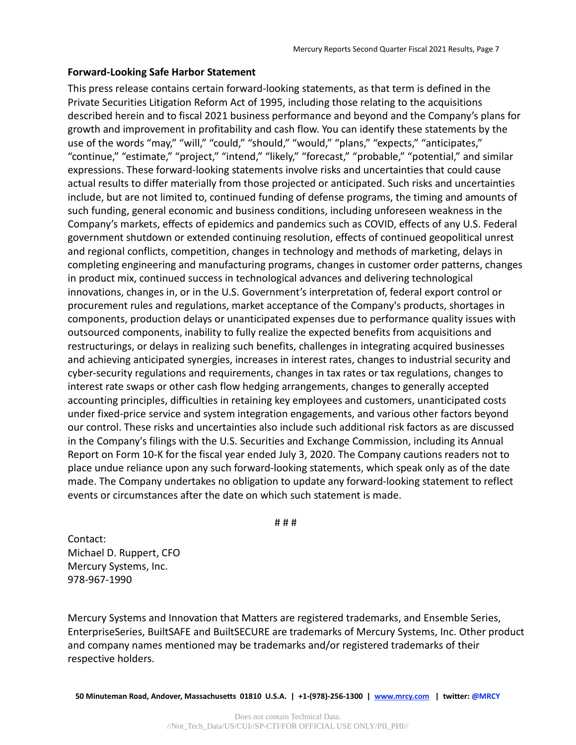## **Forward-Looking Safe Harbor Statement**

This press release contains certain forward-looking statements, as that term is defined in the Private Securities Litigation Reform Act of 1995, including those relating to the acquisitions described herein and to fiscal 2021 business performance and beyond and the Company's plans for growth and improvement in profitability and cash flow. You can identify these statements by the use of the words "may," "will," "could," "should," "would," "plans," "expects," "anticipates," "continue," "estimate," "project," "intend," "likely," "forecast," "probable," "potential," and similar expressions. These forward-looking statements involve risks and uncertainties that could cause actual results to differ materially from those projected or anticipated. Such risks and uncertainties include, but are not limited to, continued funding of defense programs, the timing and amounts of such funding, general economic and business conditions, including unforeseen weakness in the Company's markets, effects of epidemics and pandemics such as COVID, effects of any U.S. Federal government shutdown or extended continuing resolution, effects of continued geopolitical unrest and regional conflicts, competition, changes in technology and methods of marketing, delays in completing engineering and manufacturing programs, changes in customer order patterns, changes in product mix, continued success in technological advances and delivering technological innovations, changes in, or in the U.S. Government's interpretation of, federal export control or procurement rules and regulations, market acceptance of the Company's products, shortages in components, production delays or unanticipated expenses due to performance quality issues with outsourced components, inability to fully realize the expected benefits from acquisitions and restructurings, or delays in realizing such benefits, challenges in integrating acquired businesses and achieving anticipated synergies, increases in interest rates, changes to industrial security and cyber-security regulations and requirements, changes in tax rates or tax regulations, changes to interest rate swaps or other cash flow hedging arrangements, changes to generally accepted accounting principles, difficulties in retaining key employees and customers, unanticipated costs under fixed-price service and system integration engagements, and various other factors beyond our control. These risks and uncertainties also include such additional risk factors as are discussed in the Company's filings with the U.S. Securities and Exchange Commission, including its Annual Report on Form 10-K for the fiscal year ended July 3, 2020. The Company cautions readers not to place undue reliance upon any such forward-looking statements, which speak only as of the date made. The Company undertakes no obligation to update any forward-looking statement to reflect events or circumstances after the date on which such statement is made.

# # #

Contact: Michael D. Ruppert, CFO Mercury Systems, Inc. 978-967-1990

Mercury Systems and Innovation that Matters are registered trademarks, and Ensemble Series, EnterpriseSeries, BuiltSAFE and BuiltSECURE are trademarks of Mercury Systems, Inc. Other product and company names mentioned may be trademarks and/or registered trademarks of their respective holders.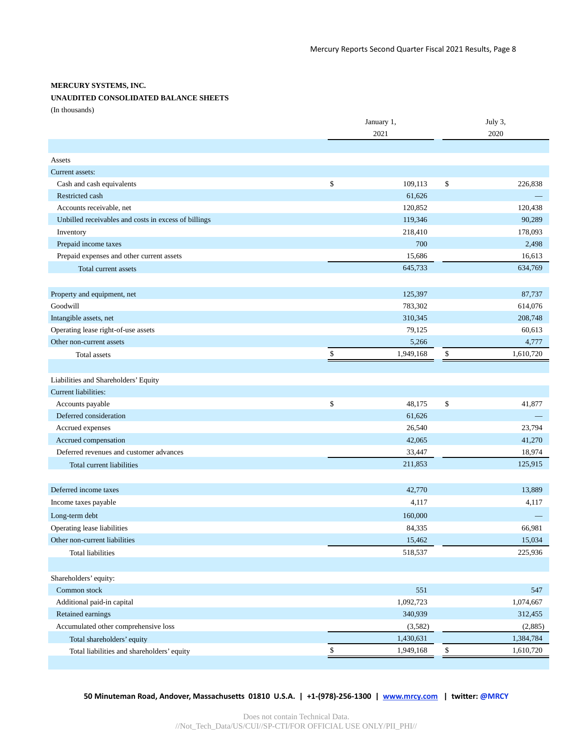#### **MERCURY SYSTEMS, INC.**

#### **UNAUDITED CONSOLIDATED BALANCE SHEETS**

(In thousands)

|                                                      | January 1,      |    |           |  |
|------------------------------------------------------|-----------------|----|-----------|--|
|                                                      | 2021            |    | 2020      |  |
|                                                      |                 |    |           |  |
| Assets                                               |                 |    |           |  |
| Current assets:                                      |                 |    |           |  |
| Cash and cash equivalents                            | \$<br>109,113   | \$ | 226,838   |  |
| Restricted cash                                      | 61,626          |    |           |  |
| Accounts receivable, net                             | 120,852         |    | 120,438   |  |
| Unbilled receivables and costs in excess of billings | 119,346         |    | 90,289    |  |
| Inventory                                            | 218,410         |    | 178,093   |  |
| Prepaid income taxes                                 | 700             |    | 2,498     |  |
| Prepaid expenses and other current assets            | 15,686          |    | 16,613    |  |
| Total current assets                                 | 645,733         |    | 634,769   |  |
| Property and equipment, net                          | 125,397         |    | 87,737    |  |
| Goodwill                                             | 783,302         |    | 614,076   |  |
| Intangible assets, net                               | 310,345         |    | 208,748   |  |
| Operating lease right-of-use assets                  | 79,125          |    | 60,613    |  |
| Other non-current assets                             | 5,266           |    | 4,777     |  |
| Total assets                                         | \$<br>1,949,168 | \$ | 1,610,720 |  |
|                                                      |                 |    |           |  |
| Liabilities and Shareholders' Equity                 |                 |    |           |  |
| <b>Current liabilities:</b>                          |                 |    |           |  |
| Accounts payable                                     | \$<br>48,175    | \$ | 41,877    |  |
| Deferred consideration                               | 61,626          |    |           |  |
| Accrued expenses                                     | 26,540          |    | 23,794    |  |
| Accrued compensation                                 | 42,065          |    | 41,270    |  |
| Deferred revenues and customer advances              | 33,447          |    | 18,974    |  |
| <b>Total current liabilities</b>                     | 211,853         |    | 125,915   |  |
|                                                      |                 |    |           |  |
| Deferred income taxes                                | 42,770          |    | 13,889    |  |
| Income taxes payable                                 | 4,117           |    | 4,117     |  |
| Long-term debt                                       | 160,000         |    |           |  |
| Operating lease liabilities                          | 84,335          |    | 66,981    |  |
| Other non-current liabilities                        | 15,462          |    | 15,034    |  |
| Total liabilities                                    | 518,537         |    | 225,936   |  |
|                                                      |                 |    |           |  |
| Shareholders' equity:                                |                 |    |           |  |
| Common stock                                         | 551             |    | 547       |  |
| Additional paid-in capital                           | 1,092,723       |    | 1,074,667 |  |
| Retained earnings                                    | 340,939         |    | 312,455   |  |
| Accumulated other comprehensive loss                 | (3, 582)        |    | (2,885)   |  |
| Total shareholders' equity                           | 1,430,631       |    | 1,384,784 |  |
| Total liabilities and shareholders' equity           | \$<br>1,949,168 | \$ | 1,610,720 |  |
|                                                      |                 |    |           |  |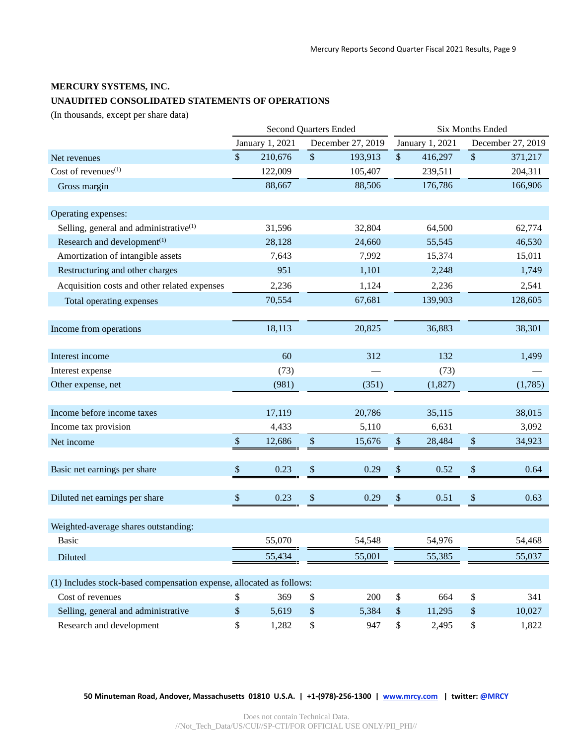## **MERCURY SYSTEMS, INC.**

## **UNAUDITED CONSOLIDATED STATEMENTS OF OPERATIONS**

(In thousands, except per share data)

|                                                                      | <b>Second Quarters Ended</b> |                 |        | <b>Six Months Ended</b> |             |                 |        |                   |  |
|----------------------------------------------------------------------|------------------------------|-----------------|--------|-------------------------|-------------|-----------------|--------|-------------------|--|
|                                                                      |                              | January 1, 2021 |        | December 27, 2019       |             | January 1, 2021 |        | December 27, 2019 |  |
| Net revenues                                                         | \$                           | 210,676         | \$     | 193,913                 | $\sqrt{\ }$ | 416,297         | \$     | 371,217           |  |
| Cost of revenues $(1)$                                               |                              | 122,009         |        | 105,407                 |             | 239,511         |        | 204,311           |  |
| Gross margin                                                         |                              | 88,667          |        | 88,506                  |             | 176,786         |        | 166,906           |  |
|                                                                      |                              |                 |        |                         |             |                 |        |                   |  |
| Operating expenses:                                                  |                              |                 |        |                         |             |                 |        |                   |  |
| Selling, general and administrative <sup>(1)</sup>                   |                              | 31,596          |        | 32,804                  |             | 64,500          |        | 62,774            |  |
| Research and development <sup>(1)</sup>                              |                              | 28,128          |        | 24,660                  |             | 55,545          |        | 46,530            |  |
| Amortization of intangible assets                                    |                              | 7,643           |        | 7,992                   |             | 15,374          |        | 15,011            |  |
| Restructuring and other charges                                      |                              | 951             |        | 1,101                   |             | 2,248           |        | 1,749             |  |
| Acquisition costs and other related expenses                         |                              | 2,236           |        | 1,124                   |             | 2,236           |        | 2,541             |  |
| Total operating expenses                                             |                              | 70,554          |        | 67,681                  |             | 139,903         |        | 128,605           |  |
|                                                                      |                              |                 |        |                         |             |                 |        |                   |  |
| Income from operations                                               |                              | 18,113          |        | 20,825                  |             | 36,883          |        | 38,301            |  |
|                                                                      |                              |                 |        |                         |             |                 |        |                   |  |
| Interest income                                                      |                              | 60              |        | 312                     |             | 132             |        | 1,499             |  |
| Interest expense                                                     |                              | (73)            |        |                         |             | (73)            |        |                   |  |
| Other expense, net                                                   |                              | (981)           |        | (351)                   |             | (1,827)         |        | (1,785)           |  |
|                                                                      |                              |                 |        |                         |             |                 |        |                   |  |
| Income before income taxes                                           |                              | 17,119          |        | 20,786                  |             | 35,115          |        | 38,015            |  |
| Income tax provision                                                 |                              | 4,433           |        | 5,110                   |             | 6,631           |        | 3,092             |  |
| Net income                                                           | $\mathbb{S}$                 | 12,686          | $\$\,$ | 15,676                  | $\$$        | 28,484          | $\$\,$ | 34,923            |  |
|                                                                      |                              |                 |        |                         |             |                 |        |                   |  |
| Basic net earnings per share                                         | \$                           | 0.23            | \$     | 0.29                    | \$          | 0.52            | \$     | 0.64              |  |
|                                                                      |                              |                 |        |                         |             |                 |        |                   |  |
| Diluted net earnings per share                                       | $\$\,$                       | 0.23            | $\$\,$ | 0.29                    | \$          | 0.51            | \$     | 0.63              |  |
|                                                                      |                              |                 |        |                         |             |                 |        |                   |  |
| Weighted-average shares outstanding:                                 |                              |                 |        |                         |             |                 |        |                   |  |
| <b>Basic</b>                                                         |                              | 55,070          |        | 54,548                  |             | 54,976          |        | 54,468            |  |
| Diluted                                                              |                              | 55,434          |        | 55,001                  |             | 55,385          |        | 55,037            |  |
|                                                                      |                              |                 |        |                         |             |                 |        |                   |  |
| (1) Includes stock-based compensation expense, allocated as follows: |                              |                 |        |                         |             |                 |        |                   |  |
| Cost of revenues                                                     | \$                           | 369             | \$     | 200                     | $\$$        | 664             | \$     | 341               |  |
| Selling, general and administrative                                  | \$                           | 5,619           | \$     | 5,384                   | $\$\,$      | 11,295          | \$     | 10,027            |  |
| Research and development                                             | \$                           | 1,282           | \$     | 947                     | $\$$        | 2,495           | \$     | 1,822             |  |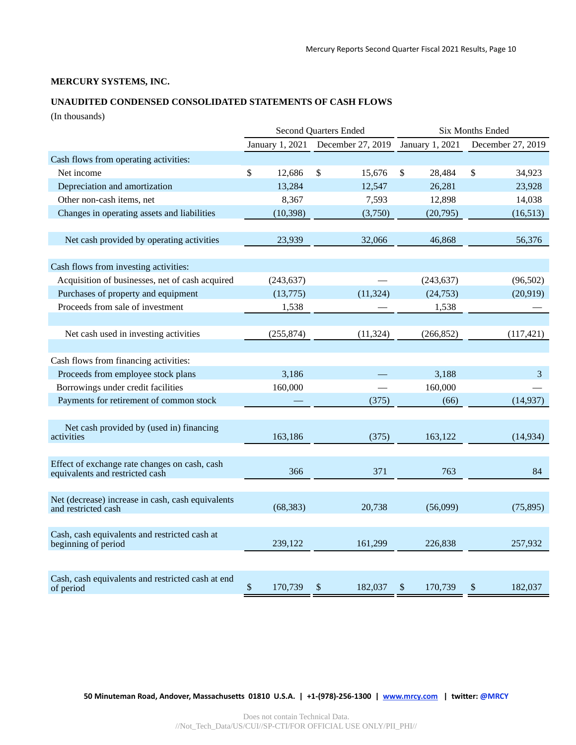#### **MERCURY SYSTEMS, INC.**

## **UNAUDITED CONDENSED CONSOLIDATED STATEMENTS OF CASH FLOWS**

(In thousands)

|                                                                                  |                 | <b>Second Quarters Ended</b> | <b>Six Months Ended</b> |                 |    |                   |  |  |
|----------------------------------------------------------------------------------|-----------------|------------------------------|-------------------------|-----------------|----|-------------------|--|--|
|                                                                                  | January 1, 2021 | December 27, 2019            |                         | January 1, 2021 |    | December 27, 2019 |  |  |
| Cash flows from operating activities:                                            |                 |                              |                         |                 |    |                   |  |  |
| Net income                                                                       | \$<br>12,686    | \$<br>15,676                 | \$                      | 28,484          | \$ | 34,923            |  |  |
| Depreciation and amortization                                                    | 13,284          | 12,547                       |                         | 26,281          |    | 23,928            |  |  |
| Other non-cash items, net                                                        | 8,367           | 7,593                        |                         | 12,898          |    | 14,038            |  |  |
| Changes in operating assets and liabilities                                      | (10, 398)       | (3,750)                      |                         | (20, 795)       |    | (16, 513)         |  |  |
|                                                                                  |                 |                              |                         |                 |    |                   |  |  |
| Net cash provided by operating activities                                        | 23,939          | 32,066                       |                         | 46,868          |    | 56,376            |  |  |
|                                                                                  |                 |                              |                         |                 |    |                   |  |  |
| Cash flows from investing activities:                                            |                 |                              |                         |                 |    |                   |  |  |
| Acquisition of businesses, net of cash acquired                                  | (243, 637)      |                              |                         | (243, 637)      |    | (96, 502)         |  |  |
| Purchases of property and equipment                                              | (13,775)        | (11, 324)                    |                         | (24, 753)       |    | (20,919)          |  |  |
| Proceeds from sale of investment                                                 | 1,538           |                              |                         | 1,538           |    |                   |  |  |
|                                                                                  |                 |                              |                         |                 |    |                   |  |  |
| Net cash used in investing activities                                            | (255, 874)      | (11, 324)                    |                         | (266, 852)      |    | (117, 421)        |  |  |
|                                                                                  |                 |                              |                         |                 |    |                   |  |  |
| Cash flows from financing activities:                                            |                 |                              |                         |                 |    |                   |  |  |
| Proceeds from employee stock plans                                               | 3,186           |                              |                         | 3,188           |    | 3                 |  |  |
| Borrowings under credit facilities                                               | 160,000         |                              |                         | 160,000         |    |                   |  |  |
| Payments for retirement of common stock                                          |                 | (375)                        |                         | (66)            |    | (14, 937)         |  |  |
|                                                                                  |                 |                              |                         |                 |    |                   |  |  |
| Net cash provided by (used in) financing                                         |                 |                              |                         |                 |    |                   |  |  |
| activities                                                                       | 163,186         | (375)                        |                         | 163,122         |    | (14, 934)         |  |  |
|                                                                                  |                 |                              |                         |                 |    |                   |  |  |
| Effect of exchange rate changes on cash, cash<br>equivalents and restricted cash | 366             | 371                          |                         | 763             |    | 84                |  |  |
|                                                                                  |                 |                              |                         |                 |    |                   |  |  |
| Net (decrease) increase in cash, cash equivalents                                |                 |                              |                         |                 |    |                   |  |  |
| and restricted cash                                                              | (68, 383)       | 20,738                       |                         | (56,099)        |    | (75, 895)         |  |  |
|                                                                                  |                 |                              |                         |                 |    |                   |  |  |
| Cash, cash equivalents and restricted cash at<br>beginning of period             | 239,122         | 161,299                      |                         | 226,838         |    | 257,932           |  |  |
|                                                                                  |                 |                              |                         |                 |    |                   |  |  |
|                                                                                  |                 |                              |                         |                 |    |                   |  |  |
| Cash, cash equivalents and restricted cash at end<br>of period                   | \$<br>170,739   | \$<br>182,037                | \$                      | 170,739         | \$ | 182,037           |  |  |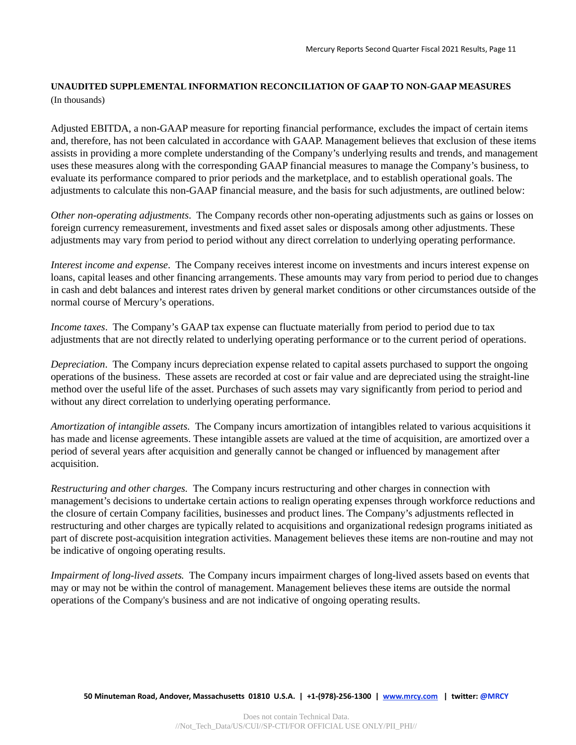## **UNAUDITED SUPPLEMENTAL INFORMATION RECONCILIATION OF GAAP TO NON-GAAP MEASURES** (In thousands)

Adjusted EBITDA, a non-GAAP measure for reporting financial performance, excludes the impact of certain items and, therefore, has not been calculated in accordance with GAAP. Management believes that exclusion of these items assists in providing a more complete understanding of the Company's underlying results and trends, and management uses these measures along with the corresponding GAAP financial measures to manage the Company's business, to evaluate its performance compared to prior periods and the marketplace, and to establish operational goals. The adjustments to calculate this non-GAAP financial measure, and the basis for such adjustments, are outlined below:

*Other non-operating adjustments*. The Company records other non-operating adjustments such as gains or losses on foreign currency remeasurement, investments and fixed asset sales or disposals among other adjustments. These adjustments may vary from period to period without any direct correlation to underlying operating performance.

*Interest income and expense*. The Company receives interest income on investments and incurs interest expense on loans, capital leases and other financing arrangements. These amounts may vary from period to period due to changes in cash and debt balances and interest rates driven by general market conditions or other circumstances outside of the normal course of Mercury's operations.

*Income taxes*. The Company's GAAP tax expense can fluctuate materially from period to period due to tax adjustments that are not directly related to underlying operating performance or to the current period of operations.

*Depreciation*. The Company incurs depreciation expense related to capital assets purchased to support the ongoing operations of the business. These assets are recorded at cost or fair value and are depreciated using the straight-line method over the useful life of the asset. Purchases of such assets may vary significantly from period to period and without any direct correlation to underlying operating performance.

*Amortization of intangible assets.* The Company incurs amortization of intangibles related to various acquisitions it has made and license agreements. These intangible assets are valued at the time of acquisition, are amortized over a period of several years after acquisition and generally cannot be changed or influenced by management after acquisition.

*Restructuring and other charges.* The Company incurs restructuring and other charges in connection with management's decisions to undertake certain actions to realign operating expenses through workforce reductions and the closure of certain Company facilities, businesses and product lines. The Company's adjustments reflected in restructuring and other charges are typically related to acquisitions and organizational redesign programs initiated as part of discrete post-acquisition integration activities. Management believes these items are non-routine and may not be indicative of ongoing operating results.

*Impairment of long-lived assets.* The Company incurs impairment charges of long-lived assets based on events that may or may not be within the control of management. Management believes these items are outside the normal operations of the Company's business and are not indicative of ongoing operating results.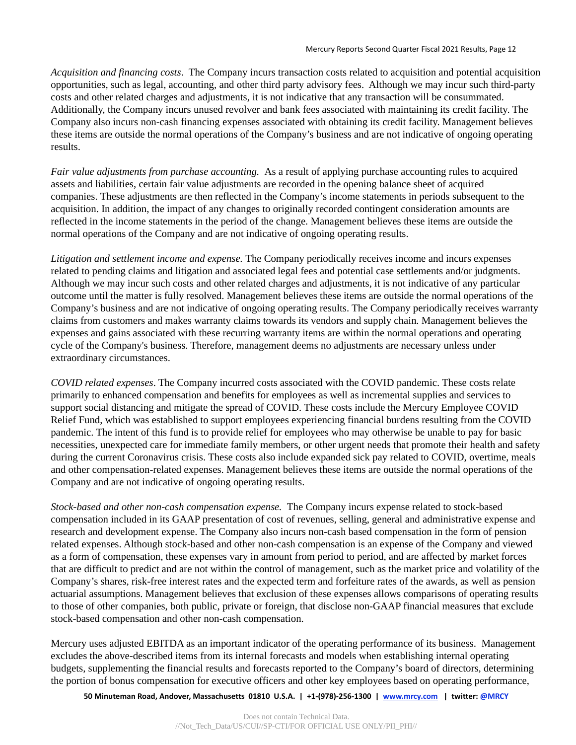*Acquisition and financing costs*. The Company incurs transaction costs related to acquisition and potential acquisition opportunities, such as legal, accounting, and other third party advisory fees. Although we may incur such third-party costs and other related charges and adjustments, it is not indicative that any transaction will be consummated. Additionally, the Company incurs unused revolver and bank fees associated with maintaining its credit facility. The Company also incurs non-cash financing expenses associated with obtaining its credit facility. Management believes these items are outside the normal operations of the Company's business and are not indicative of ongoing operating results.

*Fair value adjustments from purchase accounting.* As a result of applying purchase accounting rules to acquired assets and liabilities, certain fair value adjustments are recorded in the opening balance sheet of acquired companies. These adjustments are then reflected in the Company's income statements in periods subsequent to the acquisition. In addition, the impact of any changes to originally recorded contingent consideration amounts are reflected in the income statements in the period of the change. Management believes these items are outside the normal operations of the Company and are not indicative of ongoing operating results.

*Litigation and settlement income and expense.* The Company periodically receives income and incurs expenses related to pending claims and litigation and associated legal fees and potential case settlements and/or judgments. Although we may incur such costs and other related charges and adjustments, it is not indicative of any particular outcome until the matter is fully resolved. Management believes these items are outside the normal operations of the Company's business and are not indicative of ongoing operating results. The Company periodically receives warranty claims from customers and makes warranty claims towards its vendors and supply chain. Management believes the expenses and gains associated with these recurring warranty items are within the normal operations and operating cycle of the Company's business. Therefore, management deems no adjustments are necessary unless under extraordinary circumstances.

*COVID related expenses*. The Company incurred costs associated with the COVID pandemic. These costs relate primarily to enhanced compensation and benefits for employees as well as incremental supplies and services to support social distancing and mitigate the spread of COVID. These costs include the Mercury Employee COVID Relief Fund, which was established to support employees experiencing financial burdens resulting from the COVID pandemic. The intent of this fund is to provide relief for employees who may otherwise be unable to pay for basic necessities, unexpected care for immediate family members, or other urgent needs that promote their health and safety during the current Coronavirus crisis. These costs also include expanded sick pay related to COVID, overtime, meals and other compensation-related expenses. Management believes these items are outside the normal operations of the Company and are not indicative of ongoing operating results.

*Stock-based and other non-cash compensation expense.* The Company incurs expense related to stock-based compensation included in its GAAP presentation of cost of revenues, selling, general and administrative expense and research and development expense. The Company also incurs non-cash based compensation in the form of pension related expenses. Although stock-based and other non-cash compensation is an expense of the Company and viewed as a form of compensation, these expenses vary in amount from period to period, and are affected by market forces that are difficult to predict and are not within the control of management, such as the market price and volatility of the Company's shares, risk-free interest rates and the expected term and forfeiture rates of the awards, as well as pension actuarial assumptions. Management believes that exclusion of these expenses allows comparisons of operating results to those of other companies, both public, private or foreign, that disclose non-GAAP financial measures that exclude stock-based compensation and other non-cash compensation.

Mercury uses adjusted EBITDA as an important indicator of the operating performance of its business. Management excludes the above-described items from its internal forecasts and models when establishing internal operating budgets, supplementing the financial results and forecasts reported to the Company's board of directors, determining the portion of bonus compensation for executive officers and other key employees based on operating performance,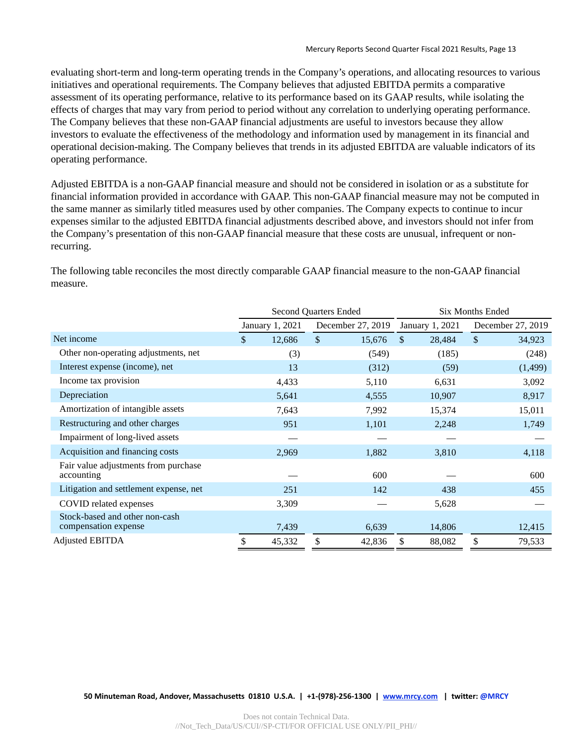evaluating short-term and long-term operating trends in the Company's operations, and allocating resources to various initiatives and operational requirements. The Company believes that adjusted EBITDA permits a comparative assessment of its operating performance, relative to its performance based on its GAAP results, while isolating the effects of charges that may vary from period to period without any correlation to underlying operating performance. The Company believes that these non-GAAP financial adjustments are useful to investors because they allow investors to evaluate the effectiveness of the methodology and information used by management in its financial and operational decision-making. The Company believes that trends in its adjusted EBITDA are valuable indicators of its operating performance.

Adjusted EBITDA is a non-GAAP financial measure and should not be considered in isolation or as a substitute for financial information provided in accordance with GAAP. This non-GAAP financial measure may not be computed in the same manner as similarly titled measures used by other companies. The Company expects to continue to incur expenses similar to the adjusted EBITDA financial adjustments described above, and investors should not infer from the Company's presentation of this non-GAAP financial measure that these costs are unusual, infrequent or nonrecurring.

The following table reconciles the most directly comparable GAAP financial measure to the non-GAAP financial measure.

|                                                        | <b>Second Quarters Ended</b> |              |                   | Six Months Ended |                 |              |                   |  |  |
|--------------------------------------------------------|------------------------------|--------------|-------------------|------------------|-----------------|--------------|-------------------|--|--|
|                                                        | January 1, 2021              |              | December 27, 2019 |                  | January 1, 2021 |              | December 27, 2019 |  |  |
| Net income                                             | \$<br>12,686                 | $\mathbb{S}$ | 15,676            | \$.              | 28,484          | $\mathbb{S}$ | 34,923            |  |  |
| Other non-operating adjustments, net                   | (3)                          |              | (549)             |                  | (185)           |              | (248)             |  |  |
| Interest expense (income), net                         | 13                           |              | (312)             |                  | (59)            |              | (1,499)           |  |  |
| Income tax provision                                   | 4,433                        |              | 5,110             |                  | 6,631           |              | 3,092             |  |  |
| Depreciation                                           | 5,641                        |              | 4,555             |                  | 10,907          |              | 8,917             |  |  |
| Amortization of intangible assets                      | 7,643                        |              | 7,992             |                  | 15,374          |              | 15,011            |  |  |
| Restructuring and other charges                        | 951                          |              | 1,101             |                  | 2,248           |              | 1,749             |  |  |
| Impairment of long-lived assets                        |                              |              |                   |                  |                 |              |                   |  |  |
| Acquisition and financing costs                        | 2,969                        |              | 1,882             |                  | 3,810           |              | 4,118             |  |  |
| Fair value adjustments from purchase<br>accounting     |                              |              | 600               |                  |                 |              | 600               |  |  |
| Litigation and settlement expense, net                 | 251                          |              | 142               |                  | 438             |              | 455               |  |  |
| COVID related expenses                                 | 3,309                        |              |                   |                  | 5,628           |              |                   |  |  |
| Stock-based and other non-cash<br>compensation expense | 7,439                        |              | 6,639             |                  | 14,806          |              | 12,415            |  |  |
| <b>Adjusted EBITDA</b>                                 | \$<br>45,332                 | \$           | 42,836            | \$               | 88,082          | \$           | 79,533            |  |  |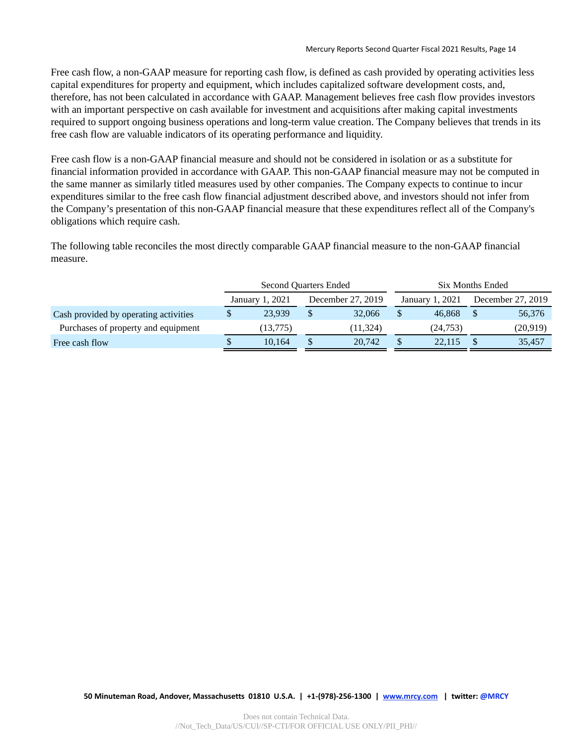Free cash flow, a non-GAAP measure for reporting cash flow, is defined as cash provided by operating activities less capital expenditures for property and equipment, which includes capitalized software development costs, and, therefore, has not been calculated in accordance with GAAP. Management believes free cash flow provides investors with an important perspective on cash available for investment and acquisitions after making capital investments required to support ongoing business operations and long-term value creation. The Company believes that trends in its free cash flow are valuable indicators of its operating performance and liquidity.

Free cash flow is a non-GAAP financial measure and should not be considered in isolation or as a substitute for financial information provided in accordance with GAAP. This non-GAAP financial measure may not be computed in the same manner as similarly titled measures used by other companies. The Company expects to continue to incur expenditures similar to the free cash flow financial adjustment described above, and investors should not infer from the Company's presentation of this non-GAAP financial measure that these expenditures reflect all of the Company's obligations which require cash.

The following table reconciles the most directly comparable GAAP financial measure to the non-GAAP financial measure.

|                                       | <b>Second Quarters Ended</b> |                   |                 | Six Months Ended  |          |  |  |
|---------------------------------------|------------------------------|-------------------|-----------------|-------------------|----------|--|--|
|                                       | January 1, 2021              | December 27, 2019 | January 1, 2021 | December 27, 2019 |          |  |  |
| Cash provided by operating activities | 23,939                       | 32,066            | \$<br>46,868    |                   | 56,376   |  |  |
| Purchases of property and equipment   | (13,775)                     | (11, 324)         | (24, 753)       |                   | (20,919) |  |  |
| Free cash flow                        | 10.164                       | 20.742            | \$<br>22,115    |                   | 35,457   |  |  |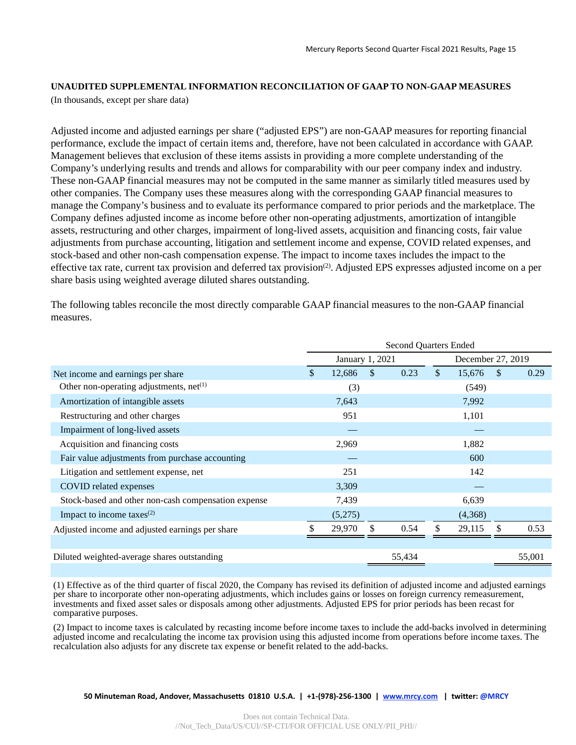## **UNAUDITED SUPPLEMENTAL INFORMATION RECONCILIATION OF GAAP TO NON-GAAP MEASURES**

(In thousands, except per share data)

Adjusted income and adjusted earnings per share ("adjusted EPS") are non-GAAP measures for reporting financial performance, exclude the impact of certain items and, therefore, have not been calculated in accordance with GAAP. Management believes that exclusion of these items assists in providing a more complete understanding of the Company's underlying results and trends and allows for comparability with our peer company index and industry. These non-GAAP financial measures may not be computed in the same manner as similarly titled measures used by other companies. The Company uses these measures along with the corresponding GAAP financial measures to manage the Company's business and to evaluate its performance compared to prior periods and the marketplace. The Company defines adjusted income as income before other non-operating adjustments, amortization of intangible assets, restructuring and other charges, impairment of long-lived assets, acquisition and financing costs, fair value adjustments from purchase accounting, litigation and settlement income and expense, COVID related expenses, and stock-based and other non-cash compensation expense. The impact to income taxes includes the impact to the effective tax rate, current tax provision and deferred tax provision<sup>(2)</sup>. Adjusted EPS expresses adjusted income on a per share basis using weighted average diluted shares outstanding.

The following tables reconcile the most directly comparable GAAP financial measures to the non-GAAP financial measures.

|                                                     | <b>Second Quarters Ended</b>                                                                 |                 |    |      |    |                   |     |        |  |  |  |
|-----------------------------------------------------|----------------------------------------------------------------------------------------------|-----------------|----|------|----|-------------------|-----|--------|--|--|--|
|                                                     |                                                                                              | January 1, 2021 |    |      |    | December 27, 2019 |     |        |  |  |  |
| Net income and earnings per share                   | $\mathcal{S}$<br>$\mathcal{S}$<br>12,686<br>0.23<br><sup>\$</sup><br>15,676<br><sup>\$</sup> |                 |    |      |    |                   |     |        |  |  |  |
| Other non-operating adjustments, $net^{(1)}$        |                                                                                              | (3)             |    |      |    | (549)             |     |        |  |  |  |
| Amortization of intangible assets                   |                                                                                              | 7,643           |    |      |    | 7,992             |     |        |  |  |  |
| Restructuring and other charges                     |                                                                                              | 951             |    |      |    | 1,101             |     |        |  |  |  |
| Impairment of long-lived assets                     |                                                                                              |                 |    |      |    |                   |     |        |  |  |  |
| Acquisition and financing costs                     |                                                                                              | 2,969           |    |      |    | 1,882             |     |        |  |  |  |
| Fair value adjustments from purchase accounting     |                                                                                              |                 |    |      |    | 600               |     |        |  |  |  |
| Litigation and settlement expense, net              |                                                                                              | 251             |    |      |    | 142               |     |        |  |  |  |
| COVID related expenses                              |                                                                                              | 3,309           |    |      |    |                   |     |        |  |  |  |
| Stock-based and other non-cash compensation expense |                                                                                              | 7,439           |    |      |    | 6,639             |     |        |  |  |  |
| Impact to income taxes $(2)$                        |                                                                                              | (5,275)         |    |      |    | (4,368)           |     |        |  |  |  |
| Adjusted income and adjusted earnings per share     |                                                                                              | 29,970          | -S | 0.54 | \$ | 29,115            | \$. | 0.53   |  |  |  |
|                                                     |                                                                                              |                 |    |      |    |                   |     |        |  |  |  |
| Diluted weighted-average shares outstanding         | 55.434                                                                                       |                 |    |      |    |                   |     | 55,001 |  |  |  |
|                                                     |                                                                                              |                 |    |      |    |                   |     |        |  |  |  |

(1) Effective as of the third quarter of fiscal 2020, the Company has revised its definition of adjusted income and adjusted earnings per share to incorporate other non-operating adjustments, which includes gains or losses on foreign currency remeasurement, investments and fixed asset sales or disposals among other adjustments. Adjusted EPS for prior periods has been recast for comparative purposes.

(2) Impact to income taxes is calculated by recasting income before income taxes to include the add-backs involved in determining adjusted income and recalculating the income tax provision using this adjusted income from operations before income taxes. The recalculation also adjusts for any discrete tax expense or benefit related to the add-backs.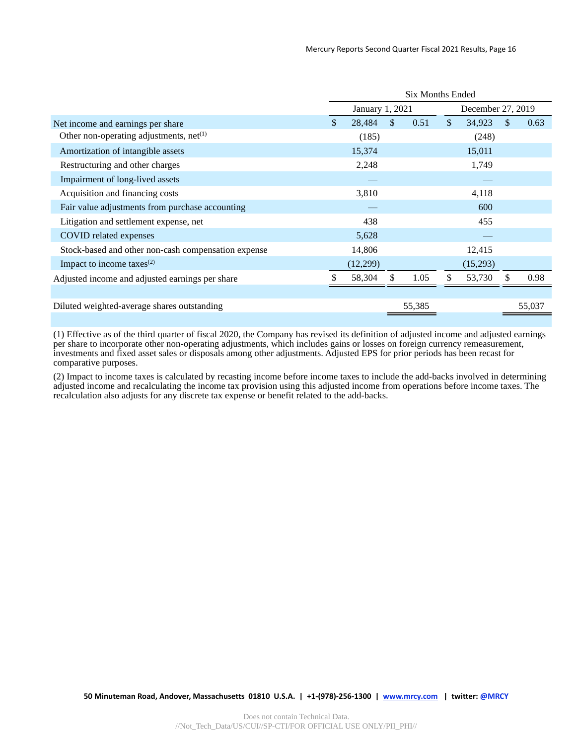|                                                     | <b>Six Months Ended</b>                                           |                 |  |        |     |          |                   |        |  |  |
|-----------------------------------------------------|-------------------------------------------------------------------|-----------------|--|--------|-----|----------|-------------------|--------|--|--|
|                                                     |                                                                   | January 1, 2021 |  |        |     |          | December 27, 2019 |        |  |  |
| Net income and earnings per share                   | $\mathcal{S}$<br>$\mathcal{S}$<br>28,484<br>\$.<br>0.51<br>34,923 |                 |  |        |     |          |                   | 0.63   |  |  |
| Other non-operating adjustments, $net^{(1)}$        |                                                                   | (185)           |  |        |     | (248)    |                   |        |  |  |
| Amortization of intangible assets                   |                                                                   | 15,374          |  |        |     | 15,011   |                   |        |  |  |
| Restructuring and other charges                     |                                                                   | 2,248           |  |        |     | 1,749    |                   |        |  |  |
| Impairment of long-lived assets                     |                                                                   |                 |  |        |     |          |                   |        |  |  |
| Acquisition and financing costs                     |                                                                   | 3,810           |  |        |     | 4,118    |                   |        |  |  |
| Fair value adjustments from purchase accounting     |                                                                   |                 |  |        |     | 600      |                   |        |  |  |
| Litigation and settlement expense, net              |                                                                   | 438             |  |        |     | 455      |                   |        |  |  |
| COVID related expenses                              |                                                                   | 5,628           |  |        |     |          |                   |        |  |  |
| Stock-based and other non-cash compensation expense |                                                                   | 14,806          |  |        |     | 12,415   |                   |        |  |  |
| Impact to income taxes $(2)$                        |                                                                   | (12,299)        |  |        |     | (15,293) |                   |        |  |  |
| Adjusted income and adjusted earnings per share     |                                                                   | 58,304          |  | 1.05   | \$. | 53,730   | \$                | 0.98   |  |  |
|                                                     |                                                                   |                 |  |        |     |          |                   |        |  |  |
| Diluted weighted-average shares outstanding         |                                                                   |                 |  | 55.385 |     |          |                   | 55.037 |  |  |
|                                                     |                                                                   |                 |  |        |     |          |                   |        |  |  |

(1) Effective as of the third quarter of fiscal 2020, the Company has revised its definition of adjusted income and adjusted earnings per share to incorporate other non-operating adjustments, which includes gains or losses on foreign currency remeasurement, investments and fixed asset sales or disposals among other adjustments. Adjusted EPS for prior periods has been recast for comparative purposes.

(2) Impact to income taxes is calculated by recasting income before income taxes to include the add-backs involved in determining adjusted income and recalculating the income tax provision using this adjusted income from operations before income taxes. The recalculation also adjusts for any discrete tax expense or benefit related to the add-backs.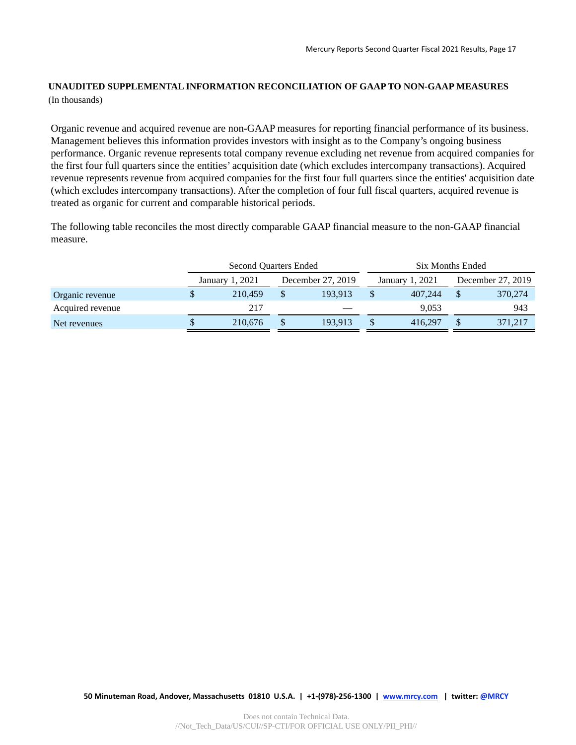## **UNAUDITED SUPPLEMENTAL INFORMATION RECONCILIATION OF GAAP TO NON-GAAP MEASURES** (In thousands)

Organic revenue and acquired revenue are non-GAAP measures for reporting financial performance of its business. Management believes this information provides investors with insight as to the Company's ongoing business performance. Organic revenue represents total company revenue excluding net revenue from acquired companies for the first four full quarters since the entities' acquisition date (which excludes intercompany transactions). Acquired revenue represents revenue from acquired companies for the first four full quarters since the entities' acquisition date (which excludes intercompany transactions). After the completion of four full fiscal quarters, acquired revenue is treated as organic for current and comparable historical periods.

The following table reconciles the most directly comparable GAAP financial measure to the non-GAAP financial measure.

|                  | <b>Second Quarters Ended</b> |                   | Six Months Ended |                 |                   |         |  |  |  |
|------------------|------------------------------|-------------------|------------------|-----------------|-------------------|---------|--|--|--|
|                  | January 1, 2021              | December 27, 2019 |                  | January 1, 2021 | December 27, 2019 |         |  |  |  |
| Organic revenue  | 210.459                      | 193.913           |                  | 407.244         |                   | 370,274 |  |  |  |
| Acquired revenue | 217                          |                   |                  | 9.053           |                   | 943     |  |  |  |
| Net revenues     | 210.676                      | 193.913           |                  | 416.297         |                   | 371,217 |  |  |  |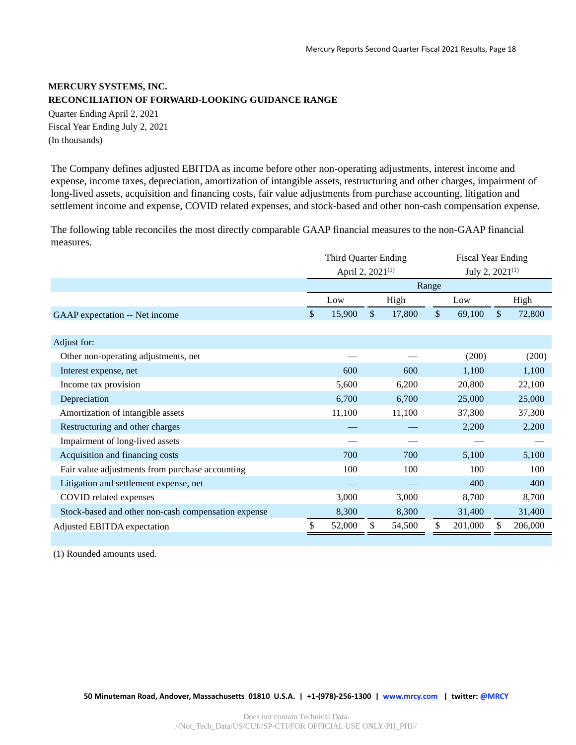## **MERCURY SYSTEMS, INC. RECONCILIATION OF FORWARD-LOOKING GUIDANCE RANGE**

Quarter Ending April 2, 2021 Fiscal Year Ending July 2, 2021 (In thousands)

The Company defines adjusted EBITDA as income before other non-operating adjustments, interest income and expense, income taxes, depreciation, amortization of intangible assets, restructuring and other charges, impairment of long-lived assets, acquisition and financing costs, fair value adjustments from purchase accounting, litigation and settlement income and expense, COVID related expenses, and stock-based and other non-cash compensation expense.

The following table reconciles the most directly comparable GAAP financial measures to the non-GAAP financial measures.

|                                                     |     | Third Quarter Ending         |         |        | <b>Fiscal Year Ending</b>   |         |    |         |  |  |
|-----------------------------------------------------|-----|------------------------------|---------|--------|-----------------------------|---------|----|---------|--|--|
|                                                     |     | April 2, 2021 <sup>(1)</sup> |         |        | July 2, 2021 <sup>(1)</sup> |         |    |         |  |  |
|                                                     |     |                              |         |        | Range                       |         |    |         |  |  |
|                                                     | Low |                              | High    |        | Low                         |         |    | High    |  |  |
| GAAP expectation -- Net income                      | \$  | 15,900                       | $\sqrt$ | 17,800 | $\sqrt{\ }$                 | 69,100  | \$ | 72,800  |  |  |
|                                                     |     |                              |         |        |                             |         |    |         |  |  |
| Adjust for:                                         |     |                              |         |        |                             |         |    |         |  |  |
| Other non-operating adjustments, net                |     |                              |         |        |                             | (200)   |    | (200)   |  |  |
| Interest expense, net                               |     | 600                          |         | 600    |                             | 1,100   |    | 1,100   |  |  |
| Income tax provision                                |     | 5,600                        |         | 6,200  |                             | 20,800  |    | 22,100  |  |  |
| Depreciation                                        |     | 6,700                        |         | 6,700  |                             | 25,000  |    | 25,000  |  |  |
| Amortization of intangible assets                   |     | 11,100                       |         | 11,100 |                             | 37,300  |    | 37,300  |  |  |
| Restructuring and other charges                     |     |                              |         |        |                             | 2,200   |    | 2,200   |  |  |
| Impairment of long-lived assets                     |     |                              |         |        |                             |         |    |         |  |  |
| Acquisition and financing costs                     |     | 700                          |         | 700    |                             | 5,100   |    | 5,100   |  |  |
| Fair value adjustments from purchase accounting     |     | 100                          |         | 100    |                             | 100     |    | 100     |  |  |
| Litigation and settlement expense, net              |     |                              |         |        |                             | 400     |    | 400     |  |  |
| COVID related expenses                              |     | 3,000                        |         | 3,000  |                             | 8,700   |    | 8,700   |  |  |
| Stock-based and other non-cash compensation expense |     | 8,300                        |         | 8,300  |                             | 31,400  |    | 31,400  |  |  |
| Adjusted EBITDA expectation                         | \$  | 52,000                       | \$      | 54,500 | \$                          | 201,000 | \$ | 206,000 |  |  |

(1) Rounded amounts used.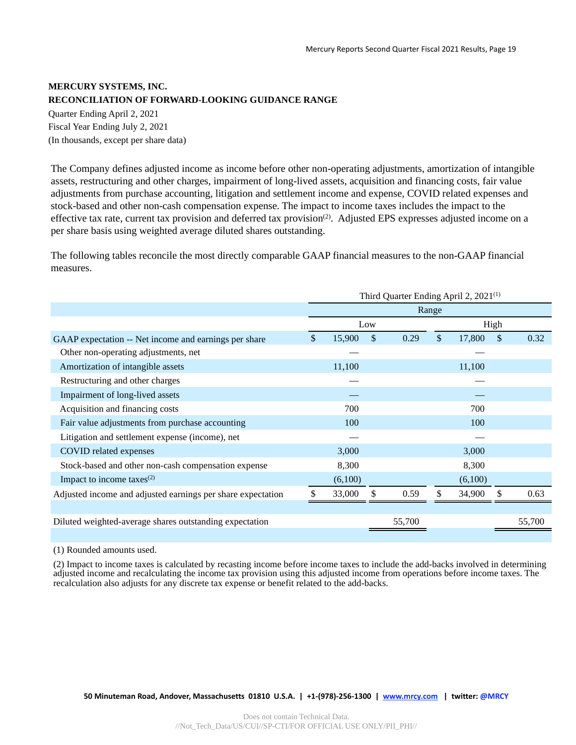## **MERCURY SYSTEMS, INC. RECONCILIATION OF FORWARD-LOOKING GUIDANCE RANGE**

Quarter Ending April 2, 2021 Fiscal Year Ending July 2, 2021 (In thousands, except per share data)

The Company defines adjusted income as income before other non-operating adjustments, amortization of intangible assets, restructuring and other charges, impairment of long-lived assets, acquisition and financing costs, fair value adjustments from purchase accounting, litigation and settlement income and expense, COVID related expenses and stock-based and other non-cash compensation expense. The impact to income taxes includes the impact to the effective tax rate, current tax provision and deferred tax provision<sup>(2)</sup>. Adjusted EPS expresses adjusted income on a per share basis using weighted average diluted shares outstanding.

The following tables reconcile the most directly comparable GAAP financial measures to the non-GAAP financial measures.

|                  |         |      | High                 |        |               |      |                                                   |  |  |  |  |
|------------------|---------|------|----------------------|--------|---------------|------|---------------------------------------------------|--|--|--|--|
| \$.              | 15,900  | 0.29 | $\mathcal{S}$        | 17,800 | <sup>\$</sup> | 0.32 |                                                   |  |  |  |  |
|                  |         |      |                      |        |               |      |                                                   |  |  |  |  |
|                  | 11,100  |      |                      |        | 11,100        |      |                                                   |  |  |  |  |
|                  |         |      |                      |        |               |      |                                                   |  |  |  |  |
|                  |         |      |                      |        |               |      |                                                   |  |  |  |  |
|                  | 700     |      |                      |        | 700           |      |                                                   |  |  |  |  |
|                  | 100     |      |                      |        | 100           |      |                                                   |  |  |  |  |
|                  |         |      |                      |        |               |      |                                                   |  |  |  |  |
|                  | 3,000   |      |                      |        | 3,000         |      |                                                   |  |  |  |  |
|                  | 8,300   |      |                      |        | 8,300         |      |                                                   |  |  |  |  |
|                  | (6,100) |      |                      |        | (6,100)       |      |                                                   |  |  |  |  |
|                  | 33,000  | \$   | 0.59                 | \$     | 34,900        |      | 0.63                                              |  |  |  |  |
|                  |         |      |                      |        |               |      |                                                   |  |  |  |  |
| 55,700<br>55,700 |         |      |                      |        |               |      |                                                   |  |  |  |  |
|                  |         |      | Low<br>$\mathcal{S}$ |        | Range         |      | Third Quarter Ending April 2, 2021 <sup>(1)</sup> |  |  |  |  |

(1) Rounded amounts used.

(2) Impact to income taxes is calculated by recasting income before income taxes to include the add-backs involved in determining adjusted income and recalculating the income tax provision using this adjusted income from operations before income taxes. The recalculation also adjusts for any discrete tax expense or benefit related to the add-backs.